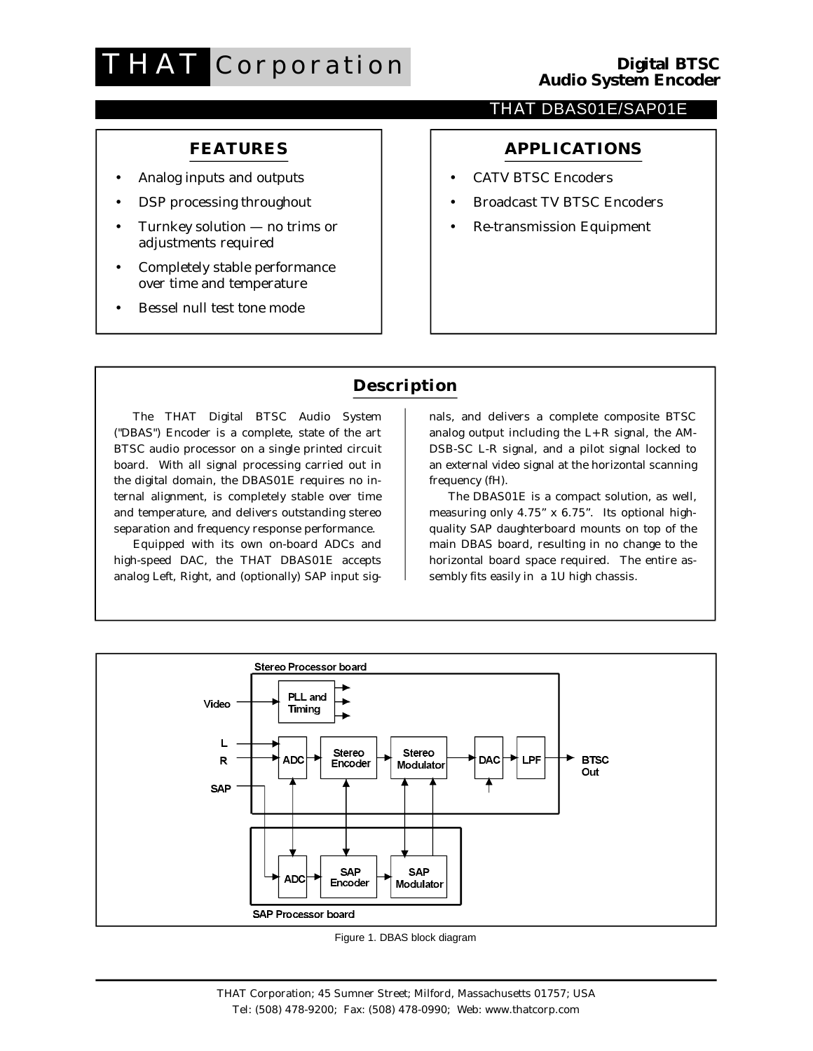# **THAT** Corporation

#### THAT DBAS01E/SAP01E

### **FEATURES**

- Analog inputs and outputs
- DSP processing throughout
- Turnkey solution no trims or adjustments required
- Completely stable performance over time and temperature
- Bessel null test tone mode

# **APPLICATIONS**

- **CATV BTSC Encoders**  $\bullet$
- **Broadcast TV BTSC Encoders**
- **Re-transmission Equipment**

# **Description**

The THAT Digital BTSC Audio System ("DBAS") Encoder is a complete, state of the art BTSC audio processor on a single printed circuit board. With all signal processing carried out in the digital domain, the DBAS01E requires no internal alignment, is completely stable over time and temperature, and delivers outstanding stereo separation and frequency response performance.

Equipped with its own on-board ADCs and high-speed DAC, the THAT DBAS01E accepts analog Left, Right, and (optionally) SAP input signals, and delivers a complete composite BTSC analog output including the  $L+R$  signal, the AM-DSB-SC L-R signal, and a pilot signal locked to an external video signal at the horizontal scanning frequency (fH).

The DBAS01E is a compact solution, as well, measuring only 4.75" x 6.75". Its optional highquality SAP daughterboard mounts on top of the main DBAS board, resulting in no change to the horizontal board space required. The entire assembly fits easily in a 1U high chassis.



Figure 1. DBAS block diagram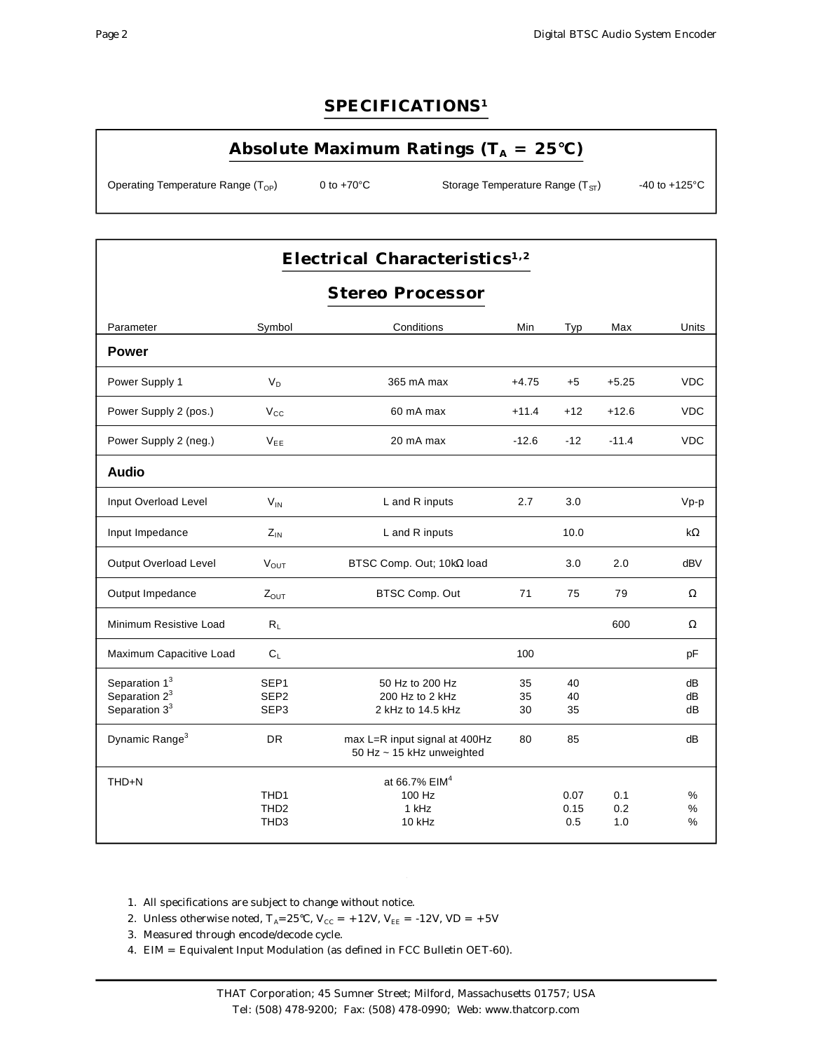#### SPECIFICATIONS<sup>1</sup>

## Absolute Maximum Ratings ( $T_A = 25^{\circ}C$ )

Operating Temperature Range (T<sub>OP</sub>) 0 to  $+70^{\circ}$ C

Storage Temperature Range (T<sub>ST</sub>)

-40 to  $+125^{\circ}$ C

# Electrical Characteristics<sup>1,2</sup>

### **Stereo Processor**

| Parameter                                     | Symbol                               | Conditions                                                 | Min      | Typ      | Max     | Units      |
|-----------------------------------------------|--------------------------------------|------------------------------------------------------------|----------|----------|---------|------------|
| <b>Power</b>                                  |                                      |                                                            |          |          |         |            |
| Power Supply 1                                | $V_D$                                | 365 mA max                                                 | $+4.75$  | $+5$     | $+5.25$ | <b>VDC</b> |
| Power Supply 2 (pos.)                         | $V_{\rm CC}$                         | 60 mA max                                                  | $+11.4$  | $+12$    | $+12.6$ | <b>VDC</b> |
| Power Supply 2 (neg.)                         | $V_{EE}$                             | 20 mA max                                                  | $-12.6$  | $-12$    | $-11.4$ | <b>VDC</b> |
| Audio                                         |                                      |                                                            |          |          |         |            |
| Input Overload Level                          | $V_{IN}$                             | L and R inputs                                             | 2.7      | 3.0      |         | $Vp-p$     |
| Input Impedance                               | $Z_{IN}$                             | L and R inputs                                             |          | 10.0     |         | $k\Omega$  |
| <b>Output Overload Level</b>                  | $V_{OUT}$                            | BTSC Comp. Out; 10kΩ load                                  |          | 3.0      | 2.0     | dBV        |
| Output Impedance                              | $Z_{OUT}$                            | BTSC Comp. Out                                             | 71       | 75       | 79      | Ω          |
| Minimum Resistive Load                        | $R_L$                                |                                                            |          |          | 600     | Ω          |
| Maximum Capacitive Load                       | $C_{L}$                              |                                                            | 100      |          |         | pF         |
| Separation 1 <sup>3</sup>                     | SEP <sub>1</sub>                     | 50 Hz to 200 Hz                                            | 35       | 40       |         | dB         |
| Separation $2^3$<br>Separation 3 <sup>3</sup> | SEP <sub>2</sub><br>SEP <sub>3</sub> | 200 Hz to 2 kHz<br>2 kHz to 14.5 kHz                       | 35<br>30 | 40<br>35 |         | dB<br>dB   |
|                                               |                                      |                                                            |          |          |         |            |
| Dynamic Range <sup>3</sup>                    | <b>DR</b>                            | max L=R input signal at 400Hz<br>50 Hz ~ 15 kHz unweighted | 80       | 85       |         | dB         |
| THD+N                                         |                                      | at 66.7% EIM <sup>4</sup>                                  |          |          |         |            |
|                                               | THD1                                 | 100 Hz                                                     |          | 0.07     | 0.1     | %          |
|                                               | THD <sub>2</sub>                     | 1 kHz                                                      |          | 0.15     | 0.2     | %          |
|                                               | TH <sub>D</sub> 3                    | $10$ kHz                                                   |          | 0.5      | 1.0     | $\%$       |

1. All specifications are subject to change without notice.

2. Unless otherwise noted, T<sub>A</sub>=25°C, V<sub>cc</sub> = +12V, V<sub>EE</sub> = -12V, VD = +5V

3. Measured through encode/decode cycle.

4. EIM = Equivalent Input Modulation (as defined in FCC Bulletin OET-60).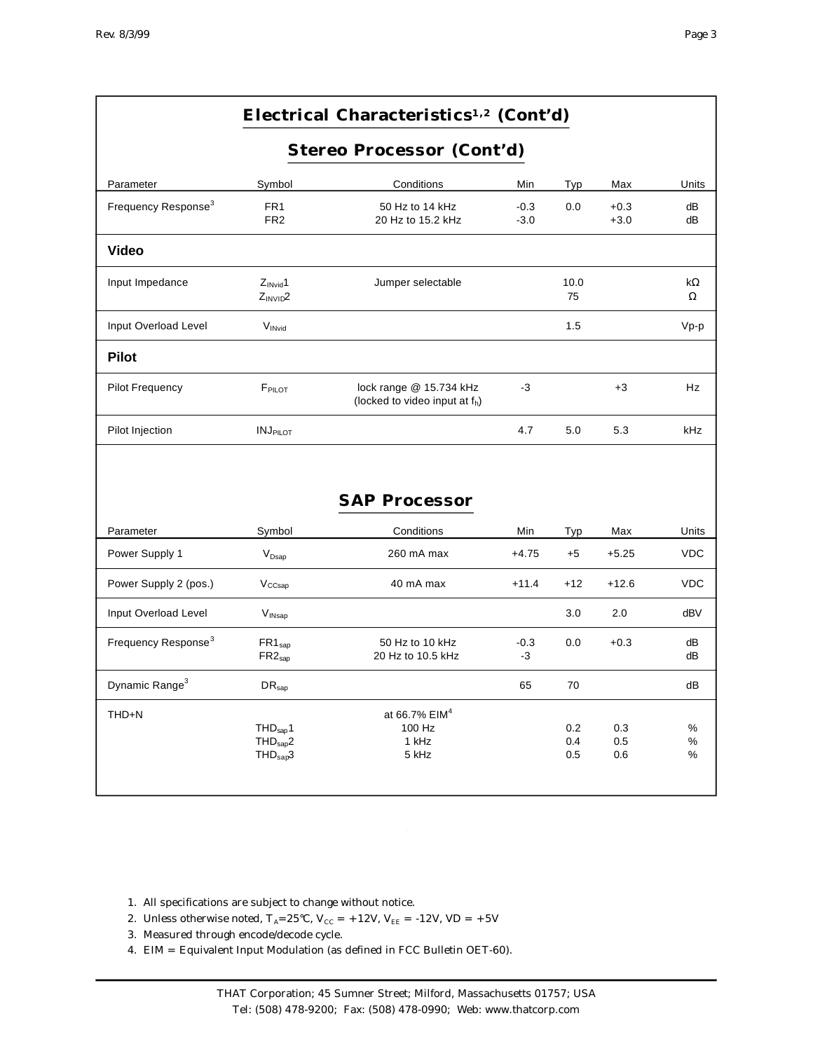|                                 |                                                                      | Electrical Characteristics <sup>1,2</sup> (Cont'd)                    |                  |                   |                   |                       |
|---------------------------------|----------------------------------------------------------------------|-----------------------------------------------------------------------|------------------|-------------------|-------------------|-----------------------|
|                                 | <b>Stereo Processor (Cont'd)</b>                                     |                                                                       |                  |                   |                   |                       |
| Parameter                       | Symbol                                                               | Conditions                                                            | Min              | Typ               | Max               | Units                 |
| Frequency Response <sup>3</sup> | FR <sub>1</sub><br>FR <sub>2</sub>                                   | 50 Hz to 14 kHz<br>20 Hz to 15.2 kHz                                  | $-0.3$<br>$-3.0$ | 0.0               | $+0.3$<br>$+3.0$  | dB<br>dB              |
| Video                           |                                                                      |                                                                       |                  |                   |                   |                       |
| Input Impedance                 | $Z_{\text{INvid}}$ 1<br>$Z_{INVID}2$                                 | Jumper selectable                                                     |                  | 10.0<br>75        |                   | $k\Omega$<br>$\Omega$ |
| Input Overload Level            | VINvid                                                               |                                                                       |                  | 1.5               |                   | $Vp-p$                |
| <b>Pilot</b>                    |                                                                      |                                                                       |                  |                   |                   |                       |
| <b>Pilot Frequency</b>          | FPILOT                                                               | lock range @ 15.734 kHz<br>(locked to video input at f <sub>h</sub> ) | $-3$             |                   | $+3$              | Hz                    |
| Pilot Injection                 | <b>INJPILOT</b>                                                      |                                                                       | 4.7              | 5.0               | 5.3               | kHz                   |
|                                 |                                                                      | <b>SAP Processor</b>                                                  |                  |                   |                   |                       |
| Parameter                       | Symbol                                                               | Conditions                                                            | Min              | Typ               | Max               | Units                 |
| Power Supply 1                  | $V_{\text{Dsap}}$                                                    | 260 mA max                                                            | $+4.75$          | $+5$              | $+5.25$           | <b>VDC</b>            |
| Power Supply 2 (pos.)           | $V_{CCsap}$                                                          | 40 mA max                                                             | $+11.4$          | $+12$             | $+12.6$           | <b>VDC</b>            |
| Input Overload Level            | V <sub>INsap</sub>                                                   |                                                                       |                  | 3.0               | 2.0               | dBV                   |
| Frequency Response <sup>3</sup> | $FR1_{\text{sap}}$<br>$FR2_{\text{sap}}$                             | 50 Hz to 10 kHz<br>20 Hz to 10.5 kHz                                  | $-0.3$<br>$-3$   | 0.0               | $+0.3$            | dB<br>dB              |
| Dynamic Range <sup>3</sup>      | DR <sub>sap</sub>                                                    |                                                                       | 65               | 70                |                   | dB                    |
| THD+N                           | THD <sub>sap</sub> 1<br>THD <sub>sap</sub> 2<br>THD <sub>sap</sub> 3 | at 66.7% EIM <sup>4</sup><br>100 Hz<br>1 kHz<br>5 kHz                 |                  | 0.2<br>0.4<br>0.5 | 0.3<br>0.5<br>0.6 | %<br>%<br>%           |

1. All specifications are subject to change without notice.

- 2. Unless otherwise noted,  $T_A=25^{\circ}$ C,  $V_{CC} = +12V$ ,  $V_{EE} = -12V$ ,  $VD = +5V$
- 3. Measured through encode/decode cycle.
- 4. EIM = Equivalent Input Modulation (as defined in FCC Bulletin OET-60).

 $\hat{\mathcal{A}}$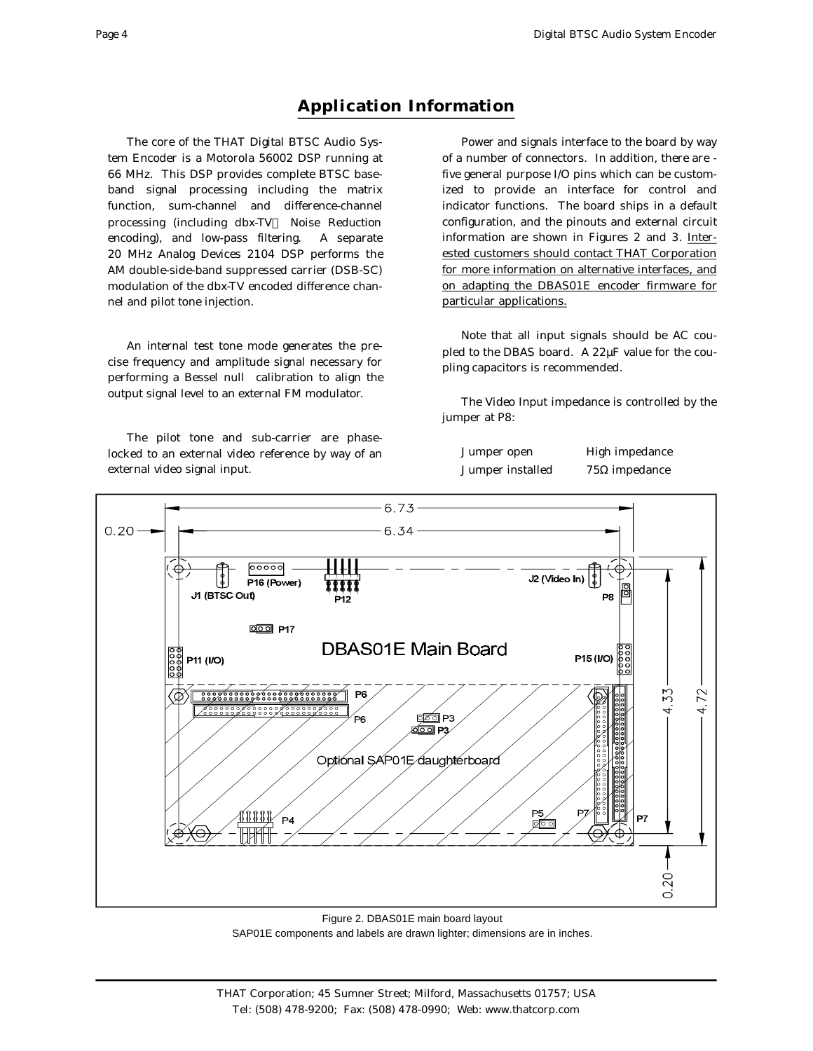The core of the THAT Digital BTSC Audio System Encoder is a Motorola 56002 DSP running at 66 MHz. This DSP provides complete BTSC baseband signal processing including the matrix function, sum-channel and difference-channel processing (including dbx-TV™ Noise Reduction encoding), and low-pass filtering. A separate 20 MHz Analog Devices 2104 DSP performs the AM double-side-band suppressed carrier (DSB-SC) modulation of the dbx-TV encoded difference channel and pilot tone injection.

An internal test tone mode generates the precise frequency and amplitude signal necessary for performing a Bessel null calibration to align the output signal level to an external FM modulator.

The pilot tone and sub-carrier are phaselocked to an external video reference by way of an external video signal input.

Power and signals interface to the board by way of a number of connectors. In addition, there are five general purpose I/O pins which can be customized to provide an interface for control and indicator functions. The board ships in a default configuration, and the pinouts and external circuit information are shown in Figures 2 and 3. Interested customers should contact THAT Corporation for more information on alternative interfaces, and on adapting the DBAS01E encoder firmware for particular applications.

Note that all input signals should be AC coupled to the DBAS board. A 22µF value for the coupling capacitors is recommended.

The Video Input impedance is controlled by the jumper at P8:

| Jumper open      | High impedance       |
|------------------|----------------------|
| Jumper installed | $75\Omega$ impedance |



Figure 2. DBAS01E main board layout SAP01E components and labels are drawn lighter; dimensions are in inches.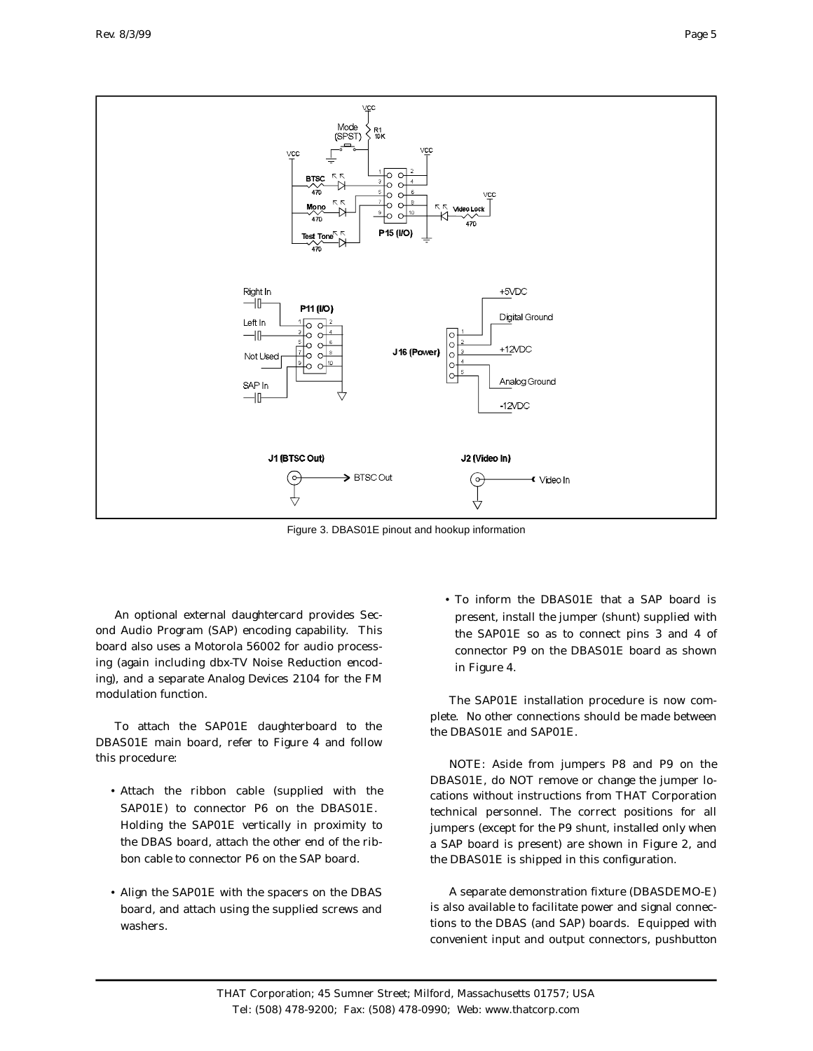

Figure 3. DBAS01E pinout and hookup information

An optional external daughter card provides Second Audio Program (SAP) encoding capability. This board also uses a Motorola 56002 for audio processing (again including dbx-TV Noise Reduction encoding), and a separate Analog Devices 2104 for the FM modulation function.

To attach the SAP01E daughterboard to the DBAS01E main board, refer to Figure 4 and follow this procedure:

- Attach the ribbon cable (supplied with the SAP01E) to connector P6 on the DBAS01E. Holding the SAP01E vertically in proximity to the DBAS board, attach the other end of the ribbon cable to connector P6 on the SAP board.
- Align the SAP01E with the spacers on the DBAS board, and attach using the supplied screws and washers.

• To in form the DBAS01E that a SAP board is present, install the jumper (shunt) supplied with the SAP01E so as to connect pins 3 and 4 of connector P9 on the DBAS01E board as shown in Figure 4.

The SAP01E installation procedure is now complete. No other connections should be made between the DBAS01E and SAP01E.

NOTE: Aside from jumpers P8 and P9 on the DBAS01E, do NOT remove or change the jumper locations without instructions from THAT Corporation technical personnel. The correct positions for all jumpers (except for the P9 shunt, installed only when a SAP board is present) are shown in Figure 2, and the DBAS01E is shipped in this configuration.

A separate demonstration fixture (DBASDEMO-E) is also available to facilitate power and signal connections to the DBAS (and SAP) boards. Equipped with convenient input and output connectors, pushbutton